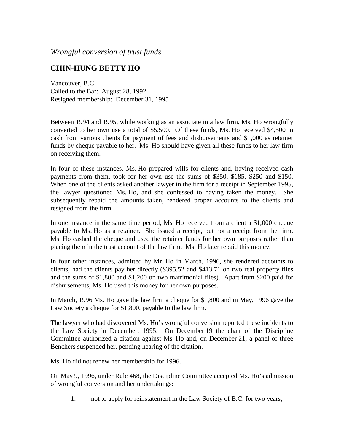*Wrongful conversion of trust funds*

## **CHIN-HUNG BETTY HO**

Vancouver, B.C. Called to the Bar: August 28, 1992 Resigned membership: December 31, 1995

Between 1994 and 1995, while working as an associate in a law firm, Ms. Ho wrongfully converted to her own use a total of \$5,500. Of these funds, Ms. Ho received \$4,500 in cash from various clients for payment of fees and disbursements and \$1,000 as retainer funds by cheque payable to her. Ms. Ho should have given all these funds to her law firm on receiving them.

In four of these instances, Ms. Ho prepared wills for clients and, having received cash payments from them, took for her own use the sums of \$350, \$185, \$250 and \$150. When one of the clients asked another lawyer in the firm for a receipt in September 1995, the lawyer questioned Ms. Ho, and she confessed to having taken the money. She subsequently repaid the amounts taken, rendered proper accounts to the clients and resigned from the firm.

In one instance in the same time period, Ms. Ho received from a client a \$1,000 cheque payable to Ms. Ho as a retainer. She issued a receipt, but not a receipt from the firm. Ms. Ho cashed the cheque and used the retainer funds for her own purposes rather than placing them in the trust account of the law firm. Ms. Ho later repaid this money.

In four other instances, admitted by Mr. Ho in March, 1996, she rendered accounts to clients, had the clients pay her directly (\$395.52 and \$413.71 on two real property files and the sums of \$1,800 and \$1,200 on two matrimonial files). Apart from \$200 paid for disbursements, Ms. Ho used this money for her own purposes.

In March, 1996 Ms. Ho gave the law firm a cheque for \$1,800 and in May, 1996 gave the Law Society a cheque for \$1,800, payable to the law firm.

The lawyer who had discovered Ms. Ho's wrongful conversion reported these incidents to the Law Society in December, 1995. On December 19 the chair of the Discipline Committee authorized a citation against Ms. Ho and, on December 21, a panel of three Benchers suspended her, pending hearing of the citation.

Ms. Ho did not renew her membership for 1996.

On May 9, 1996, under Rule 468, the Discipline Committee accepted Ms. Ho's admission of wrongful conversion and her undertakings:

1. not to apply for reinstatement in the Law Society of B.C. for two years;